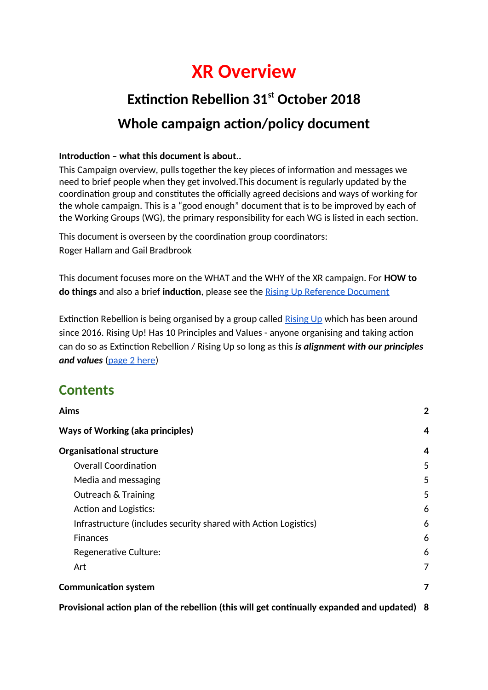## **XR Overview**

## **Extinction Rebellion 31st October 2018 Whole campaign action/policy document**

#### **Introduction – what this document is about..**

This Campaign overview, pulls together the key pieces of information and messages we need to brief people when they get involved.This document is regularly updated by the coordination group and constitutes the officially agreed decisions and ways of working for the whole campaign. This is a "good enough" document that is to be improved by each of the Working Groups (WG), the primary responsibility for each WG is listed in each section.

This document is overseen by the coordination group coordinators: Roger Hallam and Gail Bradbrook

This document focuses more on the WHAT and the WHY of the XR campaign. For **HOW to do things** and also a brief **induction**, please see the [Rising Up Reference Document](https://docs.google.com/document/d/1fPZsMjcQ9DA8LZomLpbMRF3LlceU_5R_tpV0WZj8Gz8/edit#heading=h.v23mj2rypl2r)

Extinction Rebellion is being organised by a group called [Rising Up](https://docs.google.com/document/d/1l3h6R4kWJGYGxJd3sLbQdG8zjV4sj5bmlM4Z-9Tk5X8/edit) which has been around since 2016. Rising Up! Has 10 Principles and Values - anyone organising and taking action can do so as Extinction Rebellion / Rising Up so long as this *is alignment with our principles and values* [\(page 2 here\)](https://docs.google.com/document/d/1l3h6R4kWJGYGxJd3sLbQdG8zjV4sj5bmlM4Z-9Tk5X8/edit#heading=h.ldkwcr94fux2)

### **Contents**

| Aims                                                                                      | $\mathbf{2}$ |
|-------------------------------------------------------------------------------------------|--------------|
| <b>Ways of Working (aka principles)</b>                                                   | 4            |
| <b>Organisational structure</b>                                                           | 4            |
| <b>Overall Coordination</b>                                                               | 5            |
| Media and messaging                                                                       | 5            |
| <b>Outreach &amp; Training</b>                                                            | 5            |
| <b>Action and Logistics:</b>                                                              | 6            |
| Infrastructure (includes security shared with Action Logistics)                           | 6            |
| <b>Finances</b>                                                                           | 6            |
| Regenerative Culture:                                                                     | 6            |
| Art                                                                                       | 7            |
| <b>Communication system</b>                                                               | 7            |
| Provisional action plan of the rebellion (this will get continually expanded and updated) | 8            |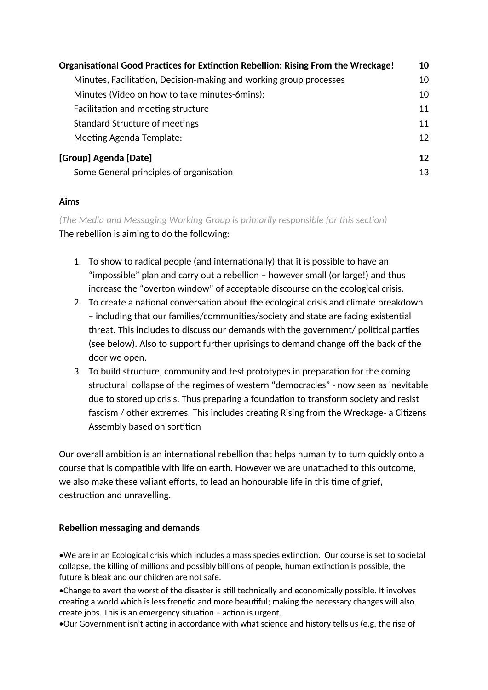| Organisational Good Practices for Extinction Rebellion: Rising From the Wreckage!<br>Minutes, Facilitation, Decision-making and working group processes | 10 |
|---------------------------------------------------------------------------------------------------------------------------------------------------------|----|
|                                                                                                                                                         | 10 |
| Minutes (Video on how to take minutes-6mins):                                                                                                           | 10 |
| Facilitation and meeting structure                                                                                                                      | 11 |
| <b>Standard Structure of meetings</b>                                                                                                                   | 11 |
| Meeting Agenda Template:                                                                                                                                | 12 |
| [Group] Agenda [Date]                                                                                                                                   | 12 |
| Some General principles of organisation                                                                                                                 | 13 |

#### <span id="page-1-0"></span>**Aims**

*(The Media and Messaging Working Group is primarily responsible for this section)* The rebellion is aiming to do the following:

- 1. To show to radical people (and internationally) that it is possible to have an "impossible" plan and carry out a rebellion – however small (or large!) and thus increase the "overton window" of acceptable discourse on the ecological crisis.
- 2. To create a national conversation about the ecological crisis and climate breakdown – including that our families/communities/society and state are facing existential threat. This includes to discuss our demands with the government/ political parties (see below). Also to support further uprisings to demand change off the back of the door we open.
- 3. To build structure, community and test prototypes in preparation for the coming structural collapse of the regimes of western "democracies" - now seen as inevitable due to stored up crisis. Thus preparing a foundation to transform society and resist fascism / other extremes. This includes creating Rising from the Wreckage- a Citizens Assembly based on sortition

Our overall ambition is an international rebellion that helps humanity to turn quickly onto a course that is compatible with life on earth. However we are unattached to this outcome, we also make these valiant efforts, to lead an honourable life in this time of grief, destruction and unravelling.

#### **Rebellion messaging and demands**

•We are in an Ecological crisis which includes a mass species extinction. Our course is set to societal collapse, the killing of millions and possibly billions of people, human extinction is possible, the future is bleak and our children are not safe.

•Change to avert the worst of the disaster is still technically and economically possible. It involves creating a world which is less frenetic and more beautiful; making the necessary changes will also create jobs. This is an emergency situation – action is urgent.

•Our Government isn't acting in accordance with what science and history tells us (e.g. the rise of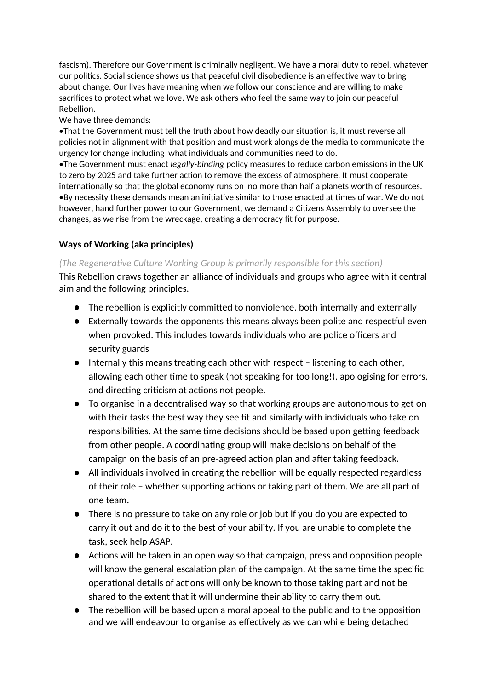fascism). Therefore our Government is criminally negligent. We have a moral duty to rebel, whatever our politics. Social science shows us that peaceful civil disobedience is an effective way to bring about change. Our lives have meaning when we follow our conscience and are willing to make sacrifices to protect what we love. We ask others who feel the same way to join our peaceful Rebellion.

We have three demands:

•That the Government must tell the truth about how deadly our situation is, it must reverse all policies not in alignment with that position and must work alongside the media to communicate the urgency for change including what individuals and communities need to do.

•The Government must enact *legally-binding* policy measures to reduce carbon emissions in the UK to zero by 2025 and take further action to remove the excess of atmosphere. It must cooperate internationally so that the global economy runs on no more than half a planets worth of resources. •By necessity these demands mean an initiative similar to those enacted at times of war. We do not however, hand further power to our Government, we demand a Citizens Assembly to oversee the changes, as we rise from the wreckage, creating a democracy fit for purpose.

#### <span id="page-2-0"></span>**Ways of Working (aka principles)**

#### *(The Regenerative Culture Working Group is primarily responsible for this section)*

This Rebellion draws together an alliance of individuals and groups who agree with it central aim and the following principles.

- The rebellion is explicitly committed to nonviolence, both internally and externally
- Externally towards the opponents this means always been polite and respectful even when provoked. This includes towards individuals who are police officers and security guards
- Internally this means treating each other with respect listening to each other, allowing each other time to speak (not speaking for too long!), apologising for errors, and directing criticism at actions not people.
- To organise in a decentralised way so that working groups are autonomous to get on with their tasks the best way they see fit and similarly with individuals who take on responsibilities. At the same time decisions should be based upon getting feedback from other people. A coordinating group will make decisions on behalf of the campaign on the basis of an pre-agreed action plan and after taking feedback.
- All individuals involved in creating the rebellion will be equally respected regardless of their role – whether supporting actions or taking part of them. We are all part of one team.
- There is no pressure to take on any role or job but if you do you are expected to carry it out and do it to the best of your ability. If you are unable to complete the task, seek help ASAP.
- Actions will be taken in an open way so that campaign, press and opposition people will know the general escalation plan of the campaign. At the same time the specific operational details of actions will only be known to those taking part and not be shared to the extent that it will undermine their ability to carry them out.
- The rebellion will be based upon a moral appeal to the public and to the opposition and we will endeavour to organise as effectively as we can while being detached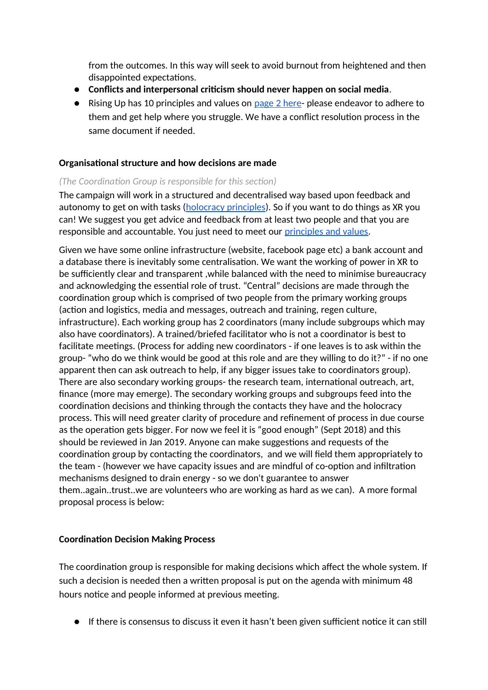from the outcomes. In this way will seek to avoid burnout from heightened and then disappointed expectations.

- **Conflicts and interpersonal criticism should never happen on social media**.
- Rising Up has 10 principles and values on [page 2 here-](https://docs.google.com/document/d/1l3h6R4kWJGYGxJd3sLbQdG8zjV4sj5bmlM4Z-9Tk5X8/edit#heading=h.ldkwcr94fux2)please endeavor to adhere to them and get help where you struggle. We have a conflict resolution process in the same document if needed.

#### <span id="page-3-0"></span>**Organisational structure and how decisions are made**

#### *(The Coordination Group is responsible for this section)*

The campaign will work in a structured and decentralised way based upon feedback and autonomy to get on with tasks [\(holocracy principles\)](https://www.holacracy.org/). So if you want to do things as XR you can! We suggest you get advice and feedback from at least two people and that you are responsible and accountable. You just need to meet our [principles and values.](https://docs.google.com/document/d/1l3h6R4kWJGYGxJd3sLbQdG8zjV4sj5bmlM4Z-9Tk5X8/edit#)

Given we have some online infrastructure (website, facebook page etc) a bank account and a database there is inevitably some centralisation. We want the working of power in XR to be sufficiently clear and transparent ,while balanced with the need to minimise bureaucracy and acknowledging the essential role of trust. "Central" decisions are made through the coordination group which is comprised of two people from the primary working groups (action and logistics, media and messages, outreach and training, regen culture, infrastructure). Each working group has 2 coordinators (many include subgroups which may also have coordinators). A trained/briefed facilitator who is not a coordinator is best to facilitate meetings. (Process for adding new coordinators - if one leaves is to ask within the group- "who do we think would be good at this role and are they willing to do it?" - if no one apparent then can ask outreach to help, if any bigger issues take to coordinators group). There are also secondary working groups- the research team, international outreach, art, finance (more may emerge). The secondary working groups and subgroups feed into the coordination decisions and thinking through the contacts they have and the holocracy process. This will need greater clarity of procedure and refinement of process in due course as the operation gets bigger. For now we feel it is "good enough" (Sept 2018) and this should be reviewed in Jan 2019. Anyone can make suggestions and requests of the coordination group by contacting the coordinators, and we will field them appropriately to the team - (however we have capacity issues and are mindful of co-option and infiltration mechanisms designed to drain energy - so we don't guarantee to answer them..again..trust..we are volunteers who are working as hard as we can). A more formal proposal process is below:

#### **Coordination Decision Making Process**

The coordination group is responsible for making decisions which affect the whole system. If such a decision is needed then a written proposal is put on the agenda with minimum 48 hours notice and people informed at previous meeting.

● If there is consensus to discuss it even it hasn't been given sufficient notice it can still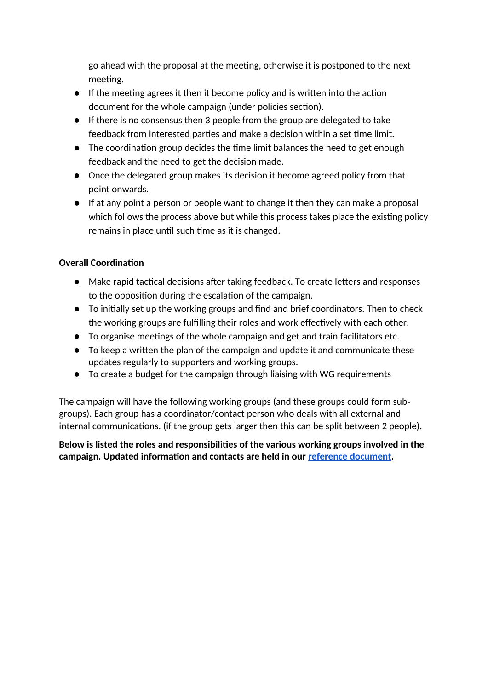go ahead with the proposal at the meeting, otherwise it is postponed to the next meeting.

- If the meeting agrees it then it become policy and is written into the action document for the whole campaign (under policies section).
- If there is no consensus then 3 people from the group are delegated to take feedback from interested parties and make a decision within a set time limit.
- The coordination group decides the time limit balances the need to get enough feedback and the need to get the decision made.
- Once the delegated group makes its decision it become agreed policy from that point onwards.
- If at any point a person or people want to change it then they can make a proposal which follows the process above but while this process takes place the existing policy remains in place until such time as it is changed.

#### <span id="page-4-0"></span>**Overall Coordination**

- Make rapid tactical decisions after taking feedback. To create letters and responses to the opposition during the escalation of the campaign.
- To initially set up the working groups and find and brief coordinators. Then to check the working groups are fulfilling their roles and work effectively with each other.
- To organise meetings of the whole campaign and get and train facilitators etc.
- To keep a written the plan of the campaign and update it and communicate these updates regularly to supporters and working groups.
- To create a budget for the campaign through liaising with WG requirements

The campaign will have the following working groups (and these groups could form subgroups). Each group has a coordinator/contact person who deals with all external and internal communications. (if the group gets larger then this can be split between 2 people).

#### **Below is listed the roles and responsibilities of the various working groups involved in the campaign. Updated information and contacts are held in our [reference document.](https://docs.google.com/document/d/1fPZsMjcQ9DA8LZomLpbMRF3LlceU_5R_tpV0WZj8Gz8/edit#heading=h.v23mj2rypl2r)**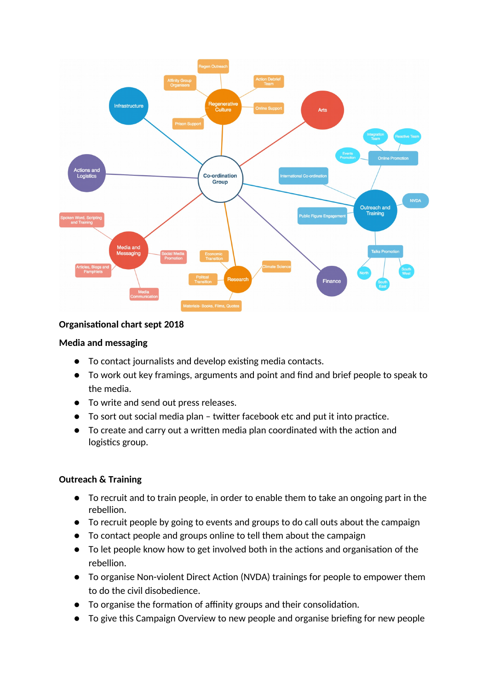

#### <span id="page-5-1"></span>**Organisational chart sept 2018**

#### **Media and messaging**

- To contact journalists and develop existing media contacts.
- To work out key framings, arguments and point and find and brief people to speak to the media.
- To write and send out press releases.
- To sort out social media plan twitter facebook etc and put it into practice.
- To create and carry out a written media plan coordinated with the action and logistics group.

#### <span id="page-5-0"></span>**Outreach & Training**

- To recruit and to train people, in order to enable them to take an ongoing part in the rebellion.
- To recruit people by going to events and groups to do call outs about the campaign
- To contact people and groups online to tell them about the campaign
- To let people know how to get involved both in the actions and organisation of the rebellion.
- To organise Non-violent Direct Action (NVDA) trainings for people to empower them to do the civil disobedience.
- To organise the formation of affinity groups and their consolidation.
- To give this Campaign Overview to new people and organise briefing for new people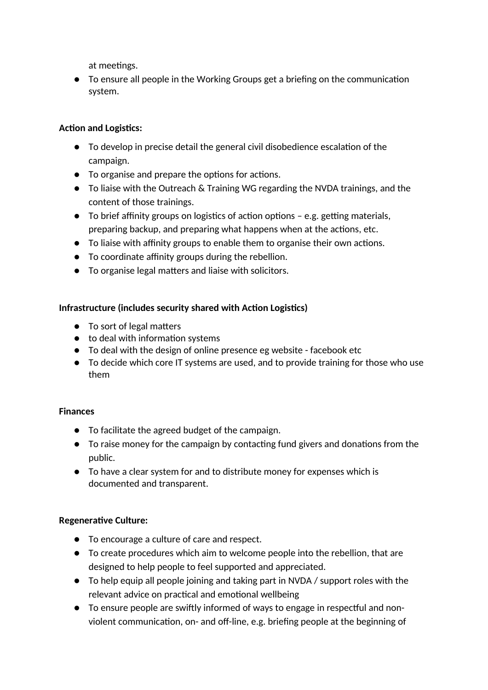at meetings.

● To ensure all people in the Working Groups get a briefing on the communication system.

#### <span id="page-6-3"></span>**Action and Logistics:**

- To develop in precise detail the general civil disobedience escalation of the campaign.
- To organise and prepare the options for actions.
- To liaise with the Outreach & Training WG regarding the NVDA trainings, and the content of those trainings.
- To brief affinity groups on logistics of action options e.g. getting materials, preparing backup, and preparing what happens when at the actions, etc.
- To liaise with affinity groups to enable them to organise their own actions.
- To coordinate affinity groups during the rebellion.
- To organise legal matters and liaise with solicitors.

#### <span id="page-6-2"></span>**Infrastructure (includes security shared with Action Logistics)**

- To sort of legal matters
- to deal with information systems
- To deal with the design of online presence eg website facebook etc
- To decide which core IT systems are used, and to provide training for those who use them

#### <span id="page-6-1"></span>**Finances**

- To facilitate the agreed budget of the campaign.
- To raise money for the campaign by contacting fund givers and donations from the public.
- To have a clear system for and to distribute money for expenses which is documented and transparent.

#### <span id="page-6-0"></span>**Regenerative Culture:**

- **●** To encourage a culture of care and respect.
- **●** To create procedures which aim to welcome people into the rebellion, that are designed to help people to feel supported and appreciated.
- **●** To help equip all people joining and taking part in NVDA / support roles with the relevant advice on practical and emotional wellbeing
- **●** To ensure people are swiftly informed of ways to engage in respectful and nonviolent communication, on- and off-line, e.g. briefing people at the beginning of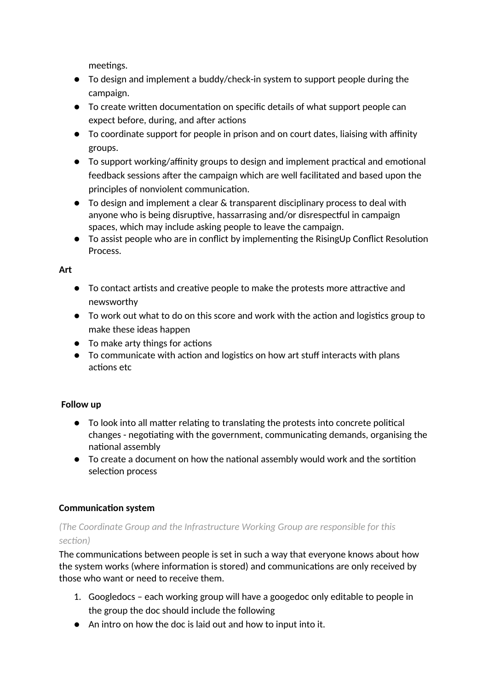meetings.

- **●** To design and implement a buddy/check-in system to support people during the campaign.
- **●** To create written documentation on specific details of what support people can expect before, during, and after actions
- **●** To coordinate support for people in prison and on court dates, liaising with affinity groups.
- **●** To support working/affinity groups to design and implement practical and emotional feedback sessions after the campaign which are well facilitated and based upon the principles of nonviolent communication.
- **●** To design and implement a clear & transparent disciplinary process to deal with anyone who is being disruptive, hassarrasing and/or disrespectful in campaign spaces, which may include asking people to leave the campaign.
- **●** To assist people who are in conflict by implementing the RisingUp Conflict Resolution Process.

<span id="page-7-1"></span>**Art**

- To contact artists and creative people to make the protests more attractive and newsworthy
- To work out what to do on this score and work with the action and logistics group to make these ideas happen
- To make arty things for actions
- To communicate with action and logistics on how art stuff interacts with plans actions etc

#### **Follow up**

- To look into all matter relating to translating the protests into concrete political changes - negotiating with the government, communicating demands, organising the national assembly
- To create a document on how the national assembly would work and the sortition selection process

#### <span id="page-7-0"></span>**Communication system**

#### *(The Coordinate Group and the Infrastructure Working Group are responsible for this section)*

The communications between people is set in such a way that everyone knows about how the system works (where information is stored) and communications are only received by those who want or need to receive them.

- 1. Googledocs each working group will have a googedoc only editable to people in the group the doc should include the following
- An intro on how the doc is laid out and how to input into it.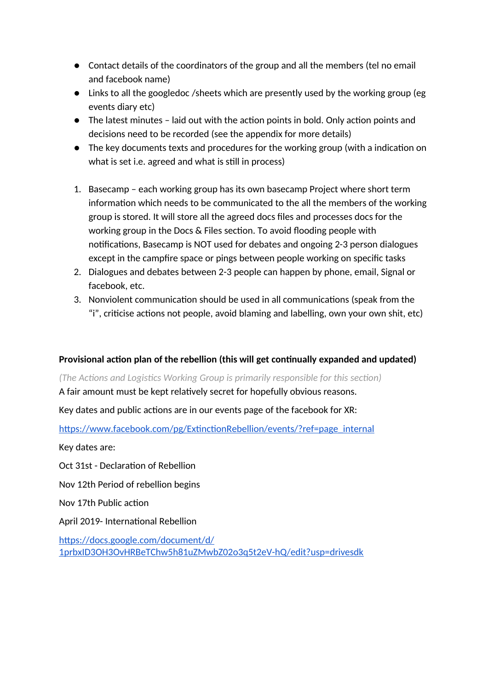- Contact details of the coordinators of the group and all the members (tel no email and facebook name)
- Links to all the googledoc /sheets which are presently used by the working group (eg events diary etc)
- The latest minutes laid out with the action points in bold. Only action points and decisions need to be recorded (see the appendix for more details)
- The key documents texts and procedures for the working group (with a indication on what is set i.e. agreed and what is still in process)
- 1. Basecamp each working group has its own basecamp Project where short term information which needs to be communicated to the all the members of the working group is stored. It will store all the agreed docs files and processes docs for the working group in the Docs & Files section. To avoid flooding people with notifications, Basecamp is NOT used for debates and ongoing 2-3 person dialogues except in the campfire space or pings between people working on specific tasks
- 2. Dialogues and debates between 2-3 people can happen by phone, email, Signal or facebook, etc.
- 3. Nonviolent communication should be used in all communications (speak from the "i", criticise actions not people, avoid blaming and labelling, own your own shit, etc)

#### <span id="page-8-0"></span>**Provisional action plan of the rebellion (this will get continually expanded and updated)**

*(The Actions and Logistics Working Group is primarily responsible for this section)*

A fair amount must be kept relatively secret for hopefully obvious reasons.

Key dates and public actions are in our events page of the facebook for XR:

[https://www.facebook.com/pg/ExtinctionRebellion/events/?ref=page\\_internal](https://www.facebook.com/pg/ExtinctionRebellion/events/?ref=page_internal)

Key dates are:

Oct 31st - Declaration of Rebellion

Nov 12th Period of rebellion begins

Nov 17th Public action

April 2019- International Rebellion

[https://docs.google.com/document/d/](https://docs.google.com/document/d/1prbxID3OH3OvHRBeTChw5h81uZMwbZ02o3q5t2eV-hQ/edit?usp=drivesdk) [1prbxID3OH3OvHRBeTChw5h81uZMwbZ02o3q5t2eV-hQ/edit?usp=drivesdk](https://docs.google.com/document/d/1prbxID3OH3OvHRBeTChw5h81uZMwbZ02o3q5t2eV-hQ/edit?usp=drivesdk)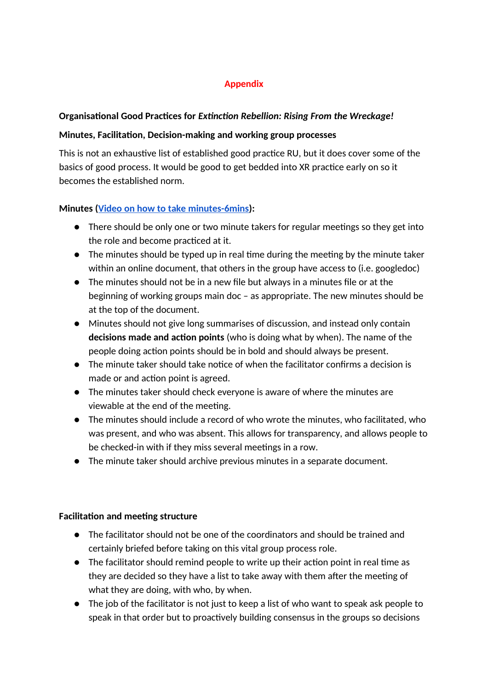#### **Appendix**

#### <span id="page-9-3"></span>**Organisational Good Practices for** *Extinction Rebellion: Rising From the Wreckage!*

#### <span id="page-9-2"></span>**Minutes, Facilitation, Decision-making and working group processes**

This is not an exhaustive list of established good practice RU, but it does cover some of the basics of good process. It would be good to get bedded into XR practice early on so it becomes the established norm.

#### <span id="page-9-1"></span>**Minutes [\(Video on how to take minutes-6mins\)](https://www.youtube.com/watch?v=HDFjOZUTTFI&t=2s):**

- There should be only one or two minute takers for regular meetings so they get into the role and become practiced at it.
- The minutes should be typed up in real time during the meeting by the minute taker within an online document, that others in the group have access to (i.e. googledoc)
- The minutes should not be in a new file but always in a minutes file or at the beginning of working groups main doc – as appropriate. The new minutes should be at the top of the document.
- Minutes should not give long summarises of discussion, and instead only contain **decisions made and action points** (who is doing what by when). The name of the people doing action points should be in bold and should always be present.
- The minute taker should take notice of when the facilitator confirms a decision is made or and action point is agreed.
- The minutes taker should check everyone is aware of where the minutes are viewable at the end of the meeting.
- The minutes should include a record of who wrote the minutes, who facilitated, who was present, and who was absent. This allows for transparency, and allows people to be checked-in with if they miss several meetings in a row.
- The minute taker should archive previous minutes in a separate document.

#### <span id="page-9-0"></span>**Facilitation and meeting structure**

- The facilitator should not be one of the coordinators and should be trained and certainly briefed before taking on this vital group process role.
- The facilitator should remind people to write up their action point in real time as they are decided so they have a list to take away with them after the meeting of what they are doing, with who, by when.
- The job of the facilitator is not just to keep a list of who want to speak ask people to speak in that order but to proactively building consensus in the groups so decisions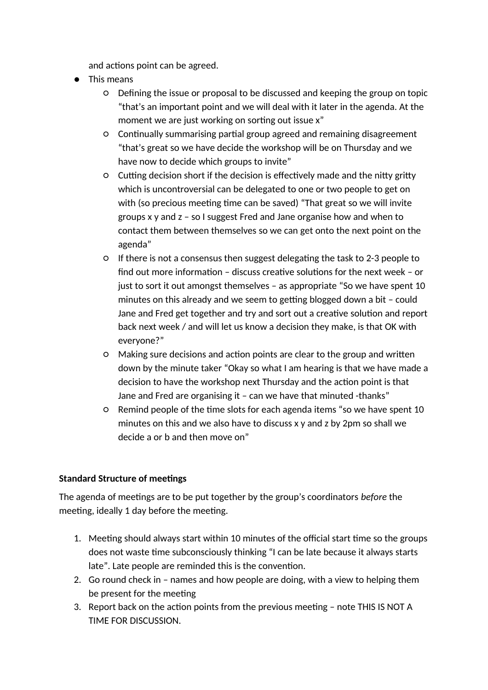and actions point can be agreed.

- This means
	- Defining the issue or proposal to be discussed and keeping the group on topic "that's an important point and we will deal with it later in the agenda. At the moment we are just working on sorting out issue x"
	- Continually summarising partial group agreed and remaining disagreement "that's great so we have decide the workshop will be on Thursday and we have now to decide which groups to invite"
	- Cutting decision short if the decision is effectively made and the nitty gritty which is uncontroversial can be delegated to one or two people to get on with (so precious meeting time can be saved) "That great so we will invite groups x y and z – so I suggest Fred and Jane organise how and when to contact them between themselves so we can get onto the next point on the agenda"
	- If there is not a consensus then suggest delegating the task to 2-3 people to find out more information – discuss creative solutions for the next week – or just to sort it out amongst themselves – as appropriate "So we have spent 10 minutes on this already and we seem to getting blogged down a bit – could Jane and Fred get together and try and sort out a creative solution and report back next week / and will let us know a decision they make, is that OK with everyone?"
	- Making sure decisions and action points are clear to the group and written down by the minute taker "Okay so what I am hearing is that we have made a decision to have the workshop next Thursday and the action point is that Jane and Fred are organising it – can we have that minuted -thanks"
	- Remind people of the time slots for each agenda items "so we have spent 10 minutes on this and we also have to discuss x y and z by 2pm so shall we decide a or b and then move on"

#### <span id="page-10-0"></span>**Standard Structure of meetings**

The agenda of meetings are to be put together by the group's coordinators *before* the meeting, ideally 1 day before the meeting.

- 1. Meeting should always start within 10 minutes of the official start time so the groups does not waste time subconsciously thinking "I can be late because it always starts late". Late people are reminded this is the convention.
- 2. Go round check in names and how people are doing, with a view to helping them be present for the meeting
- 3. Report back on the action points from the previous meeting note THIS IS NOT A TIME FOR DISCUSSION.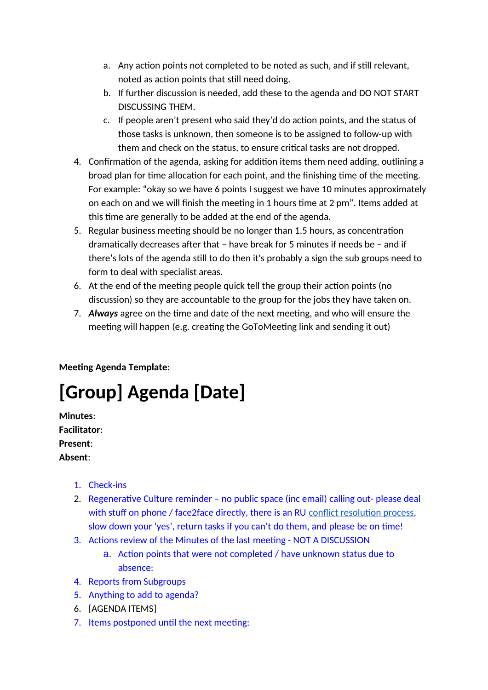- a. Any action points not completed to be noted as such, and if still relevant, noted as action points that still need doing.
- b. If further discussion is needed, add these to the agenda and DO NOT START DISCUSSING THEM.
- c. If people aren't present who said they'd do action points, and the status of those tasks is unknown, then someone is to be assigned to follow-up with them and check on the status, to ensure critical tasks are not dropped.
- 4. Confirmation of the agenda, asking for addition items them need adding, outlining a broad plan for time allocation for each point, and the finishing time of the meeting. For example: "okay so we have 6 points I suggest we have 10 minutes approximately on each on and we will finish the meeting in 1 hours time at 2 pm". Items added at this time are generally to be added at the end of the agenda.
- 5. Regular business meeting should be no longer than 1.5 hours, as concentration dramatically decreases after that – have break for 5 minutes if needs be – and if there's lots of the agenda still to do then it's probably a sign the sub groups need to form to deal with specialist areas.
- 6. At the end of the meeting people quick tell the group their action points (no discussion) so they are accountable to the group for the jobs they have taken on.
- 7. *Always* agree on the time and date of the next meeting, and who will ensure the meeting will happen (e.g. creating the GoToMeeting link and sending it out)

<span id="page-11-1"></span>**Meeting Agenda Template:**

# <span id="page-11-0"></span>**[Group] Agenda [Date]**

**Minutes**: **Facilitator**: **Present**: **Absent**:

- 1. Check-ins
- 2. Regenerative Culture reminder no public space (inc email) calling out- please deal with stuff on phone / face2face directly, there is an RU [conflict resolution process,](https://docs.google.com/document/d/1l3h6R4kWJGYGxJd3sLbQdG8zjV4sj5bmlM4Z-9Tk5X8/edit#heading=h.by47ggyecnxt) slow down your 'yes', return tasks if you can't do them, and please be on time!
- 3. Actions review of the Minutes of the last meeting NOT A DISCUSSION
	- a. Action points that were not completed / have unknown status due to absence:
- 4. Reports from Subgroups
- 5. Anything to add to agenda?
- 6. [AGENDA ITEMS]
- 7. Items postponed until the next meeting: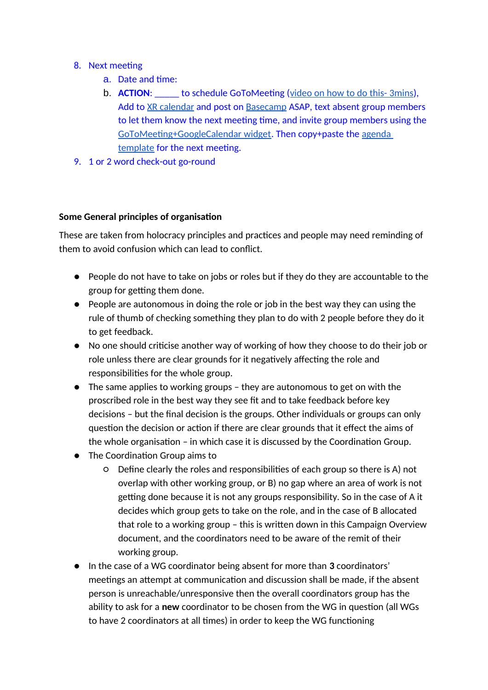#### 8. Next meeting

- a. Date and time:
- b. **ACTION**: \_\_\_\_\_ to schedule GoToMeeting [\(video on how to do this- 3mins\)](https://www.youtube.com/watch?v=8d6r-JfJdXw), Add to [XR calendar](https://docs.google.com/spreadsheets/d/1mv-UNs3KhvUY1wi_IRb4OcjAmKNkj01Hb-MZtFsAS9Y/edit#gid=0) and post on [Basecamp](https://3.basecamp.com/3559494/projects) ASAP, text absent group members to let them know the next meeting time, and invite group members using the [GoToMeeting+GoogleCalendar widget.](https://support.logmeininc.com/gotomeeting/help/install-gotomeeting-in-google-calendar-g2m010090) Then copy+paste the [agenda](http://docs.google.com/document/d/1gN92NvQEAw4MJ5rNAf3kVIJtLcc3KDUJVVYHQjtB-9E/edit#heading=h.2nueq836q3y4)  [template](http://docs.google.com/document/d/1gN92NvQEAw4MJ5rNAf3kVIJtLcc3KDUJVVYHQjtB-9E/edit#heading=h.2nueq836q3y4) for the next meeting.
- 9. 1 or 2 word check-out go-round

#### <span id="page-12-0"></span>**Some General principles of organisation**

These are taken from holocracy principles and practices and people may need reminding of them to avoid confusion which can lead to conflict.

- People do not have to take on jobs or roles but if they do they are accountable to the group for getting them done.
- People are autonomous in doing the role or job in the best way they can using the rule of thumb of checking something they plan to do with 2 people before they do it to get feedback.
- No one should criticise another way of working of how they choose to do their job or role unless there are clear grounds for it negatively affecting the role and responsibilities for the whole group.
- The same applies to working groups they are autonomous to get on with the proscribed role in the best way they see fit and to take feedback before key decisions – but the final decision is the groups. Other individuals or groups can only question the decision or action if there are clear grounds that it effect the aims of the whole organisation – in which case it is discussed by the Coordination Group.
- The Coordination Group aims to
	- Define clearly the roles and responsibilities of each group so there is A) not overlap with other working group, or B) no gap where an area of work is not getting done because it is not any groups responsibility. So in the case of A it decides which group gets to take on the role, and in the case of B allocated that role to a working group – this is written down in this Campaign Overview document, and the coordinators need to be aware of the remit of their working group.
- In the case of a WG coordinator being absent for more than **3** coordinators' meetings an attempt at communication and discussion shall be made, if the absent person is unreachable/unresponsive then the overall coordinators group has the ability to ask for a **new** coordinator to be chosen from the WG in question (all WGs to have 2 coordinators at all times) in order to keep the WG functioning